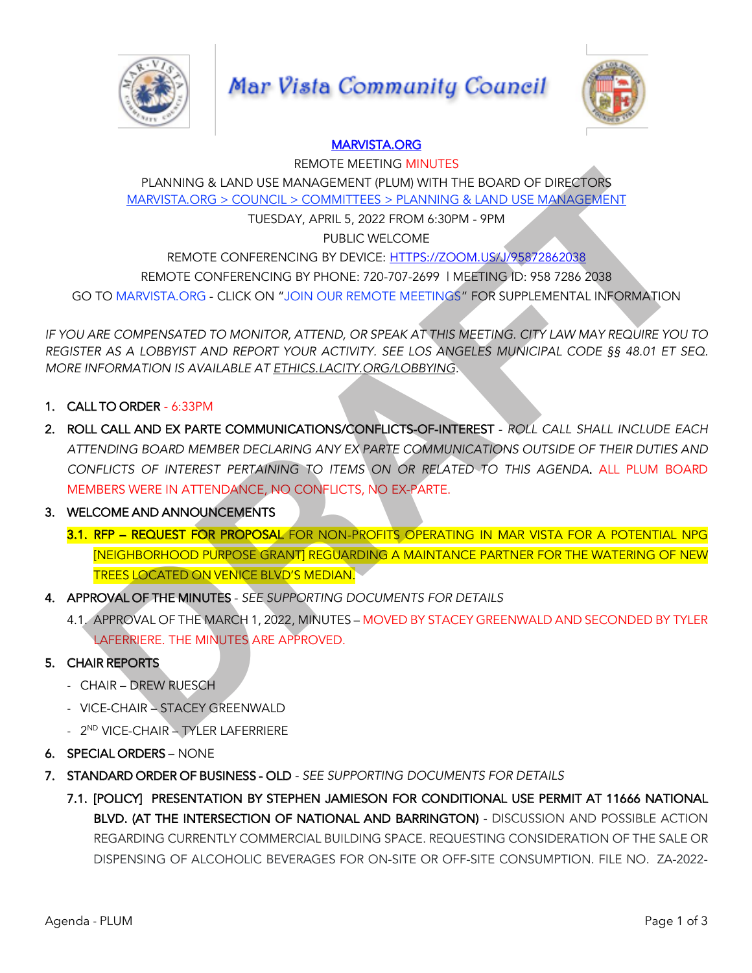

# **Mar Vista Community Council**



# MARVISTA.ORG

REMOTE MEETING MINUTES PLANNING & LAND USE MANAGEMENT (PLUM) WITH THE BOARD OF DIRECTORS MARVISTA.ORG > COUNCIL > COMMITTEES > PLANNING & LAND USE MANAGEMENT

TUESDAY, APRIL 5, 2022 FROM 6:30PM - 9PM

PUBLIC WELCOME

REMOTE CONFERENCING BY DEVICE: HTTPS://ZOOM.US/J/95872862038

REMOTE CONFERENCING BY PHONE: 720-707-2699 | MEETING ID: 958 7286 2038

GO TO MARVISTA.ORG - CLICK ON "JOIN OUR REMOTE MEETINGS" FOR SUPPLEMENTAL INFORMATION

*IF YOU ARE COMPENSATED TO MONITOR, ATTEND, OR SPEAK AT THIS MEETING. CITY LAW MAY REQUIRE YOU TO REGISTER AS A LOBBYIST AND REPORT YOUR ACTIVITY. SEE LOS ANGELES MUNICIPAL CODE §§ 48.01 ET SEQ. MORE INFORMATION IS AVAILABLE AT ETHICS.LACITY.ORG/LOBBYING.*

- 1. CALL TO ORDER 6:33PM
- 2. ROLL CALL AND EX PARTE COMMUNICATIONS/CONFLICTS-OF-INTEREST *- ROLL CALL SHALL INCLUDE EACH ATTENDING BOARD MEMBER DECLARING ANY EX PARTE COMMUNICATIONS OUTSIDE OF THEIR DUTIES AND CONFLICTS OF INTEREST PERTAINING TO ITEMS ON OR RELATED TO THIS AGENDA.* ALL PLUM BOARD MEMBERS WERE IN ATTENDANCE, NO CONFLICTS, NO EX-PARTE. PLANNING & LAND USE MANAGEMENT (PLUM) WITH THE BOARD OF DIRECTORS<br>
MARYISTA ORG > COUNCIL > COMMITTES > PLANNING & LAND USE MANAGEMENT<br>
TUESDAY, APRILS, 2022 FROM 6:30PM - 9PM<br>
PENOTE CONFERENCING BY PHONE: 720-707-2699 IM
- 3. WELCOME AND ANNOUNCEMENTS
	- 3.1. RFP REQUEST FOR PROPOSAL FOR NON-PROFITS OPERATING IN MAR VISTA FOR A POTENTIAL NPG [NEIGHBORHOOD PURPOSE GRANT] REGUARDING A MAINTANCE PARTNER FOR THE WATERING OF NEW TREES LOCATED ON VENICE BLVD'S MEDIAN.
- 4. APPROVAL OF THE MINUTES *- SEE SUPPORTING DOCUMENTS FOR DETAILS*
	- 4.1. APPROVAL OF THE MARCH 1, 2022, MINUTES MOVED BY STACEY GREENWALD AND SECONDED BY TYLER LAFERRIERE. THE MINUTES ARE APPROVED.

## 5. CHAIR REPORTS

- CHAIR DREW RUESCH
- VICE-CHAIR STACEY GREENWALD
- 2<sup>ND</sup> VICE-CHAIR TYLER LAFERRIERE
- 6. SPECIAL ORDERS NONE
- 7. STANDARD ORDER OF BUSINESS OLD *- SEE SUPPORTING DOCUMENTS FOR DETAILS*
	- 7.1. [POLICY] PRESENTATION BY STEPHEN JAMIESON FOR CONDITIONAL USE PERMIT AT 11666 NATIONAL BLVD. (AT THE INTERSECTION OF NATIONAL AND BARRINGTON) - DISCUSSION AND POSSIBLE ACTION REGARDING CURRENTLY COMMERCIAL BUILDING SPACE. REQUESTING CONSIDERATION OF THE SALE OR DISPENSING OF ALCOHOLIC BEVERAGES FOR ON-SITE OR OFF-SITE CONSUMPTION. FILE NO. ZA-2022-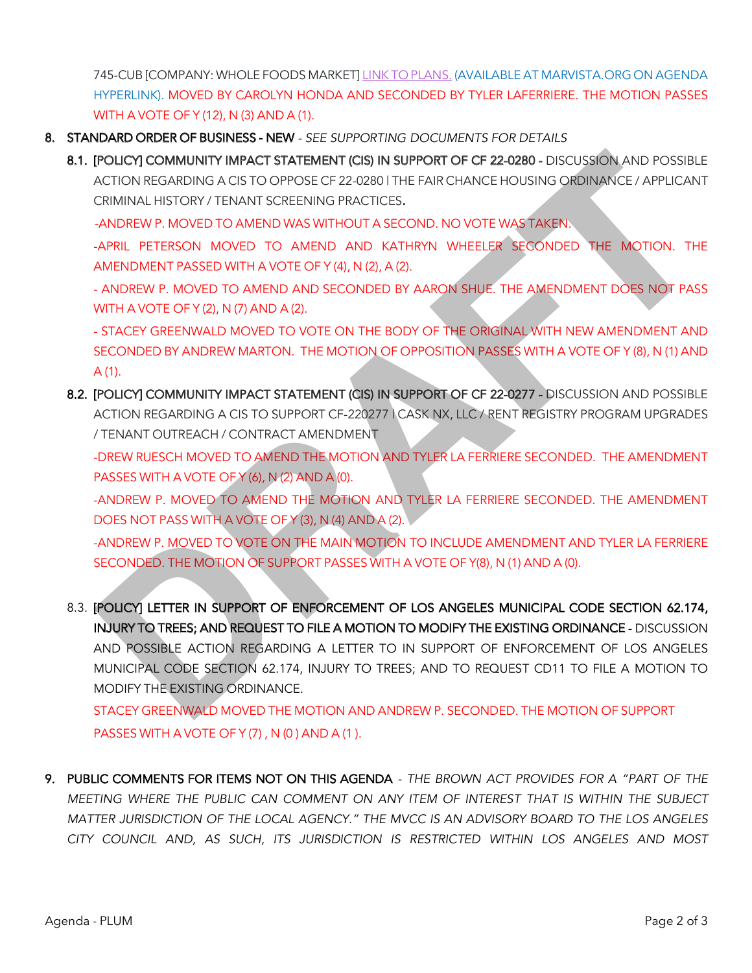745-CUB [COMPANY: WHOLE FOODS MARKET] LINK TO PLANS. (AVAILABLEAT MARVISTA.ORG ON AGENDA HYPERLINK). MOVED BY CAROLYN HONDA AND SECONDED BY TYLER LAFERRIERE. THE MOTION PASSES WITH A VOTE OF Y (12), N (3) AND A (1).

- 8. STANDARD ORDER OF BUSINESS NEW *- SEE SUPPORTING DOCUMENTS FOR DETAILS*
	- 8.1. [POLICY] COMMUNITY IMPACT STATEMENT (CIS) IN SUPPORT OF CF 22-0280 DISCUSSION AND POSSIBLE ACTION REGARDING A CIS TO OPPOSE CF 22-0280 | THE FAIR CHANCE HOUSING ORDINANCE / APPLICANT CRIMINAL HISTORY / TENANT SCREENING PRACTICES.

-ANDREW P. MOVED TO AMEND WAS WITHOUT A SECOND. NO VOTE WAS TAKEN.

-APRIL PETERSON MOVED TO AMEND AND KATHRYN WHEELER SECONDED THE MOTION. THE AMENDMENT PASSED WITH A VOTE OF Y (4), N (2), A (2).

- ANDREW P. MOVED TO AMEND AND SECONDED BY AARON SHUE. THE AMENDMENT DOES NOT PASS WITH A VOTE OF Y (2), N (7) AND A (2).

- STACEY GREENWALD MOVED TO VOTE ON THE BODY OF THE ORIGINAL WITH NEW AMENDMENT AND SECONDED BY ANDREW MARTON. THE MOTION OF OPPOSITION PASSES WITH A VOTE OF Y (8), N (1) AND  $A(1)$ .

8.2. [POLICY] COMMUNITY IMPACT STATEMENT (CIS) IN SUPPORT OF CF 22-0277 - DISCUSSION AND POSSIBLE ACTION REGARDING A CIS TO SUPPORT CF-220277 | CASK NX, LLC / RENT REGISTRY PROGRAM UPGRADES / TENANT OUTREACH / CONTRACT AMENDMENT

-DREW RUESCH MOVED TO AMEND THE MOTION AND TYLER LA FERRIERE SECONDED. THE AMENDMENT PASSES WITH A VOTE OF Y (6), N (2) AND A (0).

-ANDREW P. MOVED TO AMEND THE MOTION AND TYLER LA FERRIERE SECONDED. THE AMENDMENT DOES NOT PASS WITH A VOTE OF Y (3), N (4) AND A (2).

-ANDREW P. MOVED TO VOTE ON THE MAIN MOTION TO INCLUDE AMENDMENT AND TYLER LA FERRIERE SECONDED. THE MOTION OF SUPPORT PASSES WITH A VOTE OF Y(8), N (1) AND A (0).

8.3. [POLICY] LETTER IN SUPPORT OF ENFORCEMENT OF LOS ANGELES MUNICIPAL CODE SECTION 62.174, INJURY TO TREES; AND REQUEST TO FILE A MOTION TO MODIFY THE EXISTING ORDINANCE - DISCUSSION AND POSSIBLE ACTION REGARDING A LETTER TO IN SUPPORT OF ENFORCEMENT OF LOS ANGELES MUNICIPAL CODE SECTION 62.174, INJURY TO TREES; AND TO REQUEST CD11 TO FILE A MOTION TO MODIFY THE EXISTING ORDINANCE. **IPOLICY) COMMUNITY IMPACT STATEMENT (CIS) IN SUPPORT OF CF 224280 - DISCUSSION AND POSSIBLE<br>ACTION REGARDING A CIST CO OPPOSE CF 224280 - THE FAIR CHANCE HOUSING ORDINANCE / APPLICANT<br>CRIMINAL HISTORY / TENANT SCREENING P** 

STACEY GREENWALD MOVED THE MOTION AND ANDREW P. SECONDED. THE MOTION OF SUPPORT PASSES WITH A VOTE OF Y (7), N (0) AND A (1).

9. PUBLIC COMMENTS FOR ITEMS NOT ON THIS AGENDA *- THE BROWN ACT PROVIDES FOR A "PART OF THE MEETING WHERE THE PUBLIC CAN COMMENT ON ANY ITEM OF INTEREST THAT IS WITHIN THE SUBJECT MATTER JURISDICTION OF THE LOCAL AGENCY." THE MVCC IS AN ADVISORY BOARD TO THE LOS ANGELES CITY COUNCIL AND, AS SUCH, ITS JURISDICTION IS RESTRICTED WITHIN LOS ANGELES AND MOST*